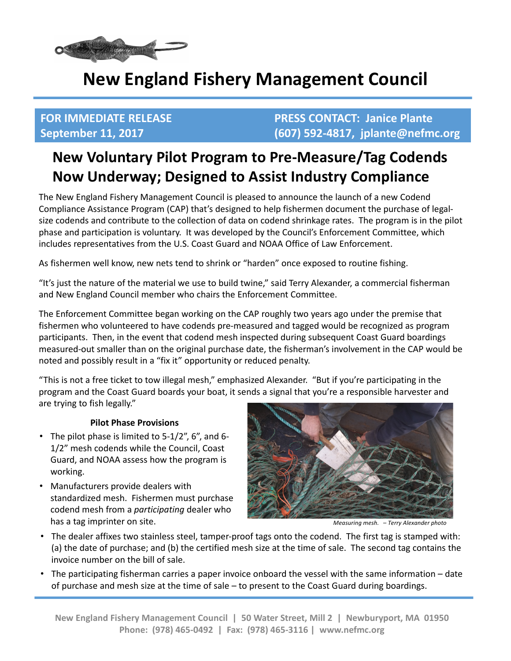

# **New England Fishery Management Council**

**FOR IMMEDIATE RELEASE SECONTACT: Janice Plante September 11, 2017 (607) 592-4817, jplante@nefmc.org**

## **New Voluntary Pilot Program to Pre-Measure/Tag Codends Now Underway; Designed to Assist Industry Compliance**

The New England Fishery Management Council is pleased to announce the launch of a new Codend Compliance Assistance Program (CAP) that's designed to help fishermen document the purchase of legalsize codends and contribute to the collection of data on codend shrinkage rates. The program is in the pilot phase and participation is voluntary. It was developed by the Council's Enforcement Committee, which includes representatives from the U.S. Coast Guard and NOAA Office of Law Enforcement.

As fishermen well know, new nets tend to shrink or "harden" once exposed to routine fishing.

"It's just the nature of the material we use to build twine," said Terry Alexander, a commercial fisherman and New England Council member who chairs the Enforcement Committee.

The Enforcement Committee began working on the CAP roughly two years ago under the premise that fishermen who volunteered to have codends pre-measured and tagged would be recognized as program participants. Then, in the event that codend mesh inspected during subsequent Coast Guard boardings measured-out smaller than on the original purchase date, the fisherman's involvement in the CAP would be noted and possibly result in a "fix it" opportunity or reduced penalty.

"This is not a free ticket to tow illegal mesh," emphasized Alexander. "But if you're participating in the program and the Coast Guard boards your boat, it sends a signal that you're a responsible harvester and are trying to fish legally."

### **Pilot Phase Provisions**

- The pilot phase is limited to  $5-1/2$ ", 6", and 6-1/2" mesh codends while the Council, Coast Guard, and NOAA assess how the program is working.
- Manufacturers provide dealers with standardized mesh. Fishermen must purchase codend mesh from a *participating* dealer who has a tag imprinter on site. *has a tag imprinter* on site. *Measuring mesh. - Terry Alexander photo*



- The dealer affixes two stainless steel, tamper-proof tags onto the codend. The first tag is stamped with: (a) the date of purchase; and (b) the certified mesh size at the time of sale. The second tag contains the invoice number on the bill of sale.
- The participating fisherman carries a paper invoice onboard the vessel with the same information date of purchase and mesh size at the time of sale – to present to the Coast Guard during boardings.